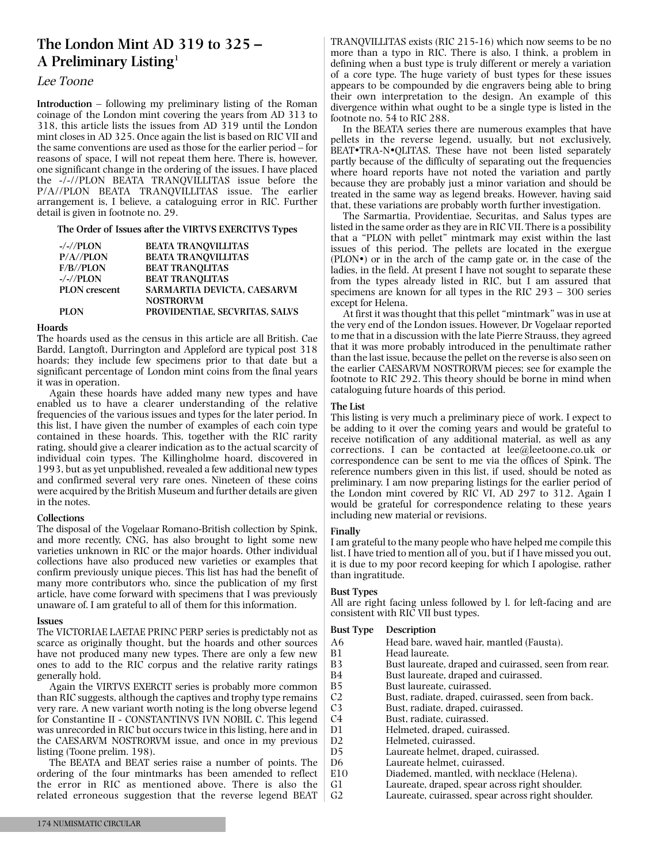# **The London Mint AD 319 to 325 – A Preliminary Listing1**

#### Lee Toone

**Introduction** – following my preliminary listing of the Roman coinage of the London mint covering the years from AD 313 to 318, this article lists the issues from AD 319 until the London mint closes in AD 325. Once again the list is based on RIC VII and the same conventions are used as those for the earlier period – for reasons of space, I will not repeat them here. There is, however, one significant change in the ordering of the issues. I have placed the -/-//PLON BEATA TRANQVILLITAS issue before the P/A//PLON BEATA TRANQVILLITAS issue. The earlier arrangement is, I believe, a cataloguing error in RIC. Further detail is given in footnote no. 29.

**The Order of Issues after the VIRTVS EXERCITVS Types**

| $-/-//PLON$          | <b>BEATA TRANOVILLITAS</b>            |
|----------------------|---------------------------------------|
| $P/A$ //PLON         | <b>BEATA TRANOVILLITAS</b>            |
| F/B//PLON            | <b>BEAT TRANOLITAS</b>                |
| $-/-//PLON$          | <b>BEAT TRANOLITAS</b>                |
| <b>PLON</b> crescent | <b>SARMARTIA DEVICTA. CAESARVM</b>    |
|                      | <b>NOSTRORVM</b>                      |
| <b>PLON</b>          | <b>PROVIDENTIAE. SECVRITAS. SALVS</b> |

#### **Hoards**

**T**he hoards used as the census in this article are all British. Cae Bardd, Langtoft, Durrington and Appleford are typical post 318 hoards; they include few specimens prior to that date but a significant percentage of London mint coins from the final years it was in operation.

Again these hoards have added many new types and have enabled us to have a clearer understanding of the relative frequencies of the various issues and types for the later period. In this list, I have given the number of examples of each coin type contained in these hoards. This, together with the RIC rarity rating, should give a clearer indication as to the actual scarcity of individual coin types. The Killingholme hoard, discovered in 1993, but as yet unpublished, revealed a few additional new types and confirmed several very rare ones. Nineteen of these coins were acquired by the British Museum and further details are given in the notes.

#### **Collections**

The disposal of the Vogelaar Romano-British collection by Spink, and more recently, CNG, has also brought to light some new varieties unknown in RIC or the major hoards. Other individual collections have also produced new varieties or examples that confirm previously unique pieces. This list has had the benefit of many more contributors who, since the publication of my first article, have come forward with specimens that I was previously unaware of. I am grateful to all of them for this information.

#### **Issues**

The VICTORIAE LAETAE PRINC PERP series is predictably not as scarce as originally thought, but the hoards and other sources have not produced many new types. There are only a few new ones to add to the RIC corpus and the relative rarity ratings generally hold.

Again the VIRTVS EXERCIT series is probably more common than RIC suggests, although the captives and trophy type remains very rare. A new variant worth noting is the long obverse legend for Constantine II - CONSTANTINVS IVN NOBIL C. This legend was unrecorded in RIC but occurs twice in this listing, here and in the CAESARVM NOSTRORVM issue, and once in my previous listing (Toone prelim. 198).

The BEATA and BEAT series raise a number of points. The ordering of the four mintmarks has been amended to reflect the error in RIC as mentioned above. There is also the related erroneous suggestion that the reverse legend BEAT

TRANQVILLITAS exists (RIC 215-16) which now seems to be no more than a typo in RIC. There is also, I think, a problem in defining when a bust type is truly different or merely a variation of a core type. The huge variety of bust types for these issues appears to be compounded by die engravers being able to bring their own interpretation to the design. An example of this divergence within what ought to be a single type is listed in the footnote no. 54 to RIC 288.

In the BEATA series there are numerous examples that have pellets in the reverse legend, usually, but not exclusively, BEAT TRA-N QLITAS. These have not been listed separately partly because of the difficulty of separating out the frequencies where hoard reports have not noted the variation and partly because they are probably just a minor variation and should be treated in the same way as legend breaks. However, having said that, these variations are probably worth further investigation.

The Sarmartia, Providentiae, Securitas, and Salus types are listed in the same order asthey are in RIC VII. There is a possibility that a "PLON with pellet" mintmark may exist within the last issues of this period. The pellets are located in the exergue  $(PLON<sup>•</sup>)$  or in the arch of the camp gate or, in the case of the ladies, in the field. At present I have not sought to separate these from the types already listed in RIC, but I am assured that specimens are known for all types in the RIC 293 – 300 series except for Helena.

At first it was thought that this pellet "mintmark" was in use at the very end of the London issues. However, Dr Vogelaar reported to me that in a discussion with the late Pierre Strauss, they agreed that it was more probably introduced in the penultimate rather than the last issue, because the pellet on the reverse is also seen on the earlier CAESARVM NOSTRORVM pieces; see for example the footnote to RIC 292. This theory should be borne in mind when cataloguing future hoards of this period.

#### **The List**

This listing is very much a preliminary piece of work. I expect to be adding to it over the coming years and would be grateful to receive notification of any additional material, as well as any corrections. I can be contacted at lee@leetoone.co.uk or correspondence can be sent to me via the offices of Spink. The reference numbers given in this list, if used, should be noted as preliminary. I am now preparing listings for the earlier period of the London mint covered by RIC VI, AD 297 to 312. Again I would be grateful for correspondence relating to these years including new material or revisions.

#### **Finally**

I am grateful to the many people who have helped me compile this list. I have tried to mention all of you, but if I have missed you out, it is due to my poor record keeping for which I apologise, rather than ingratitude.

#### **Bust Types**

All are right facing unless followed by l. for left-facing and are consistent with RIC VII bust types.

#### **Bust Type Description**

| DUST TYPU       | Description                                          |
|-----------------|------------------------------------------------------|
| A6              | Head bare, waved hair, mantled (Fausta).             |
| B1              | Head laureate.                                       |
| B <sub>3</sub>  | Bust laureate, draped and cuirassed, seen from rear. |
| B4              | Bust laureate, draped and cuirassed.                 |
| <b>B5</b>       | Bust laureate, cuirassed.                            |
| C <sub>2</sub>  | Bust, radiate, draped, cuirassed, seen from back.    |
| C <sub>3</sub>  | Bust, radiate, draped, cuirassed.                    |
| C <sub>4</sub>  | Bust, radiate, cuirassed.                            |
| D1              | Helmeted, draped, cuirassed.                         |
| D <sub>2</sub>  | Helmeted, cuirassed.                                 |
| D5              | Laureate helmet, draped, cuirassed.                  |
| D <sub>6</sub>  | Laureate helmet, cuirassed.                          |
| E <sub>10</sub> | Diademed, mantled, with necklace (Helena).           |
| G1              | Laureate, draped, spear across right shoulder.       |
| G2              | Laureate, cuirassed, spear across right shoulder.    |
|                 |                                                      |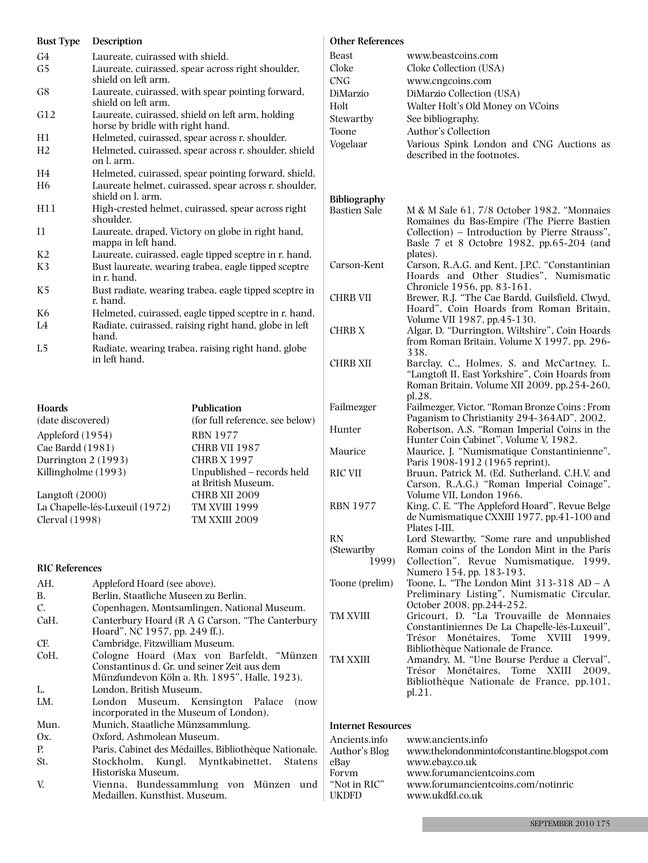| <b>Bust Type</b> | Description                                                                          |
|------------------|--------------------------------------------------------------------------------------|
| G4               | Laureate, cuirassed with shield.                                                     |
| G5               | Laureate, cuirassed, spear across right shoulder,<br>shield on left arm.             |
| G8               | Laureate, cuirassed, with spear pointing forward,<br>shield on left arm.             |
| G12              | Laureate, cuirassed, shield on left arm, holding<br>horse by bridle with right hand. |
| H1               | Helmeted, cuirassed, spear across r. shoulder.                                       |
| H <sub>2</sub>   | Helmeted, cuirassed, spear across r. shoulder, shield<br>on L arm.                   |
| H4               | Helmeted, cuirassed, spear pointing forward, shield.                                 |
| H <sub>6</sub>   | Laureate helmet, cuirassed, spear across r. shoulder,<br>shield on l. arm.           |
| H11              | High-crested helmet, cuirassed, spear across right<br>shoulder.                      |
| $_{\rm I1}$      | Laureate, draped, Victory on globe in right hand,<br>mappa in left hand.             |
| K <sub>2</sub>   | Laureate, cuirassed, eagle tipped sceptre in r. hand.                                |
| K <sub>3</sub>   | Bust laureate, wearing trabea, eagle tipped sceptre<br>in r. hand.                   |
| K5               | Bust radiate, wearing trabea, eagle tipped sceptre in<br>r. hand.                    |
| K6               | Helmeted, cuirassed, eagle tipped sceptre in r. hand.                                |
| L4               | Radiate, cuirassed, raising right hand, globe in left<br>hand.                       |
| L5               | Radiate, wearing trabea, raising right hand, globe                                   |

L5 Radiate, wearing trabea, raising right hand, globe in left hand.

**Hoards Publication** (date discovered) (for full reference, see below) Appleford (1954) RBN 1977<br>Cae Bardd (1981) CHRB VII 1987 Cae Bardd (1981) Durrington 2 (1993) CHRB X 1997 Killingholme (1993) Unpublished – records held at British Museum. Langtoft (2000) CHRB XII 2009<br>La Chapelle-lés-Luxeuil (1972) TM XVIII 1999 La Chapelle-lés-Luxeuil (1972)<br>Clerval (1998) TM XXIII 2009

#### **RIC References**

| AH.  | Appleford Hoard (see above).                                                                                                             |  |  |  |  |  |  |  |  |  |
|------|------------------------------------------------------------------------------------------------------------------------------------------|--|--|--|--|--|--|--|--|--|
| B.   | Berlin, Staatliche Museen zu Berlin.                                                                                                     |  |  |  |  |  |  |  |  |  |
| C.   | Copenhagen, Møntsamlingen, National Museum.                                                                                              |  |  |  |  |  |  |  |  |  |
| CaH. | Canterbury Hoard (R A G Carson, "The Canterbury<br>Hoard", NC 1957, pp. 249 ff.).                                                        |  |  |  |  |  |  |  |  |  |
| CF.  | Cambridge, Fitzwilliam Museum.                                                                                                           |  |  |  |  |  |  |  |  |  |
| CoH. | Cologne Hoard (Max von Barfeldt, "Münzen<br>Constantinus d. Gr. und seiner Zeit aus dem<br>Münzfundevon Köln a. Rh. 1895", Halle, 1923). |  |  |  |  |  |  |  |  |  |
| L.   | London. British Museum.                                                                                                                  |  |  |  |  |  |  |  |  |  |
| LM.  | London Museum, Kensington Palace<br>(now)<br>incorporated in the Museum of London).                                                      |  |  |  |  |  |  |  |  |  |
| Mun. | Munich, Staatliche Münzsammlung.                                                                                                         |  |  |  |  |  |  |  |  |  |
| Ox.  | Oxford. Ashmolean Museum.                                                                                                                |  |  |  |  |  |  |  |  |  |
| P.   | Paris, Cabinet des Médailles, Bibliothèque Nationale.                                                                                    |  |  |  |  |  |  |  |  |  |
| St.  | Stockholm, Kungl. Myntkabinettet, Statens<br>Historiska Museum.                                                                          |  |  |  |  |  |  |  |  |  |
| V.   | Vienna, Bundessammlung von Münzen<br>und<br>Medaillen, Kunsthist. Museum.                                                                |  |  |  |  |  |  |  |  |  |

#### **Other References**

| Beast<br>Cloke<br><b>CNG</b><br>DiMarzio<br>Holt<br>Stewartby<br>Toone<br>Vogelaar | www.beastcoins.com<br>Cloke Collection (USA)<br>www.cngcoins.com<br>DiMarzio Collection (USA)<br>Walter Holt's Old Money on VCoins<br>See bibliography.<br>Author's Collection<br>Various Spink London and CNG Auctions as<br>described in the footnotes. |
|------------------------------------------------------------------------------------|-----------------------------------------------------------------------------------------------------------------------------------------------------------------------------------------------------------------------------------------------------------|
| <b>Bibliography</b>                                                                |                                                                                                                                                                                                                                                           |
| <b>Bastien Sale</b>                                                                | M & M Sale 61, 7/8 October 1982. "Monnaies<br>Romaines du Bas-Empire (The Pierre Bastien<br>Collection) - Introduction by Pierre Strauss",<br>Basle 7 et 8 Octobre 1982, pp.65-204 (and<br>plates).                                                       |
| Carson-Kent                                                                        | Carson, R.A.G. and Kent, J.P.C. "Constantinian<br>Hoards and Other Studies", Numismatic<br>Chronicle 1956, pp. 83-161.                                                                                                                                    |
| <b>CHRB VII</b>                                                                    | Brewer, R.J. "The Cae Bardd, Guilsfield, Clwyd,<br>Hoard", Coin Hoards from Roman Britain,<br>Volume VII 1987, pp.45-130.                                                                                                                                 |
| CHRB X                                                                             | Algar, D. "Durrington, Wiltshire", Coin Hoards<br>from Roman Britain, Volume X 1997, pp. 296-<br>338.                                                                                                                                                     |
| <b>CHRB XII</b>                                                                    | Barclay, C., Holmes, S. and McCartney, L.<br>"Langtoft II, East Yorkshire", Coin Hoards from<br>Roman Britain, Volume XII 2009, pp.254-260,<br>pl.28.                                                                                                     |
| Failmezger                                                                         | Failmezger, Victor. "Roman Bronze Coins: From<br>Paganism to Christianity 294-364AD", 2002.                                                                                                                                                               |
| Hunter                                                                             | Robertson, A.S. "Roman Imperial Coins in the<br>Hunter Coin Cabinet", Volume V, 1982.                                                                                                                                                                     |
| Maurice                                                                            | Maurice, J. "Numismatique Constantinienne",<br>Paris 1908-1912 (1965 reprint).                                                                                                                                                                            |
| <b>RIC VII</b>                                                                     | Bruun, Patrick M. (Ed. Sutherland, C.H.V. and<br>Carson, R.A.G.) "Roman Imperial Coinage",<br>Volume VII, London 1966.                                                                                                                                    |
| <b>RBN 1977</b>                                                                    | King, C. E. "The Appleford Hoard", Revue Belge<br>de Numismatique CXXIII 1977, pp.41-100 and<br>Plates I-III.                                                                                                                                             |
| RN                                                                                 | Lord Stewartby, "Some rare and unpublished                                                                                                                                                                                                                |
| (Stewartby                                                                         | Roman coins of the London Mint in the Paris                                                                                                                                                                                                               |
| 1999)                                                                              | Collection", Revue Numismatique, 1999,<br>Numero 154, pp. 183-193.                                                                                                                                                                                        |
| Toone (prelim)                                                                     | Toone, L. "The London Mint $313-318$ AD - A<br>Preliminary Listing", Numismatic Circular,<br>October 2008, pp.244-252.                                                                                                                                    |
| TM XVIII                                                                           | Gricourt, D. "La Trouvaille de Monnaies<br>Constantiniennes De La Chapelle-lés-Luxeuil",<br>Monétaires,<br>Tome<br>XVIII<br>Trésor<br>1999.                                                                                                               |
| TM XXIII                                                                           | Bibliothèque Nationale de France.<br>Amandry, M. "Une Bourse Perdue a Clerval",<br>Monétaires.<br>XXIII<br>Tome<br>2009.<br>Trésor<br>Bibliothèque Nationale de France, pp.101,<br>pl.21.                                                                 |
|                                                                                    |                                                                                                                                                                                                                                                           |

#### **Internet Resources**

| Ancients.info<br>Author's Blog | www.ancients.info<br>www.thelondonmintofconstantine.blogspot.com |
|--------------------------------|------------------------------------------------------------------|
| eBay                           | www.ebay.co.uk                                                   |
| Forvm                          | www.forumancientcoins.com                                        |
| "Not in RIC"<br><b>UKDFD</b>   | www.forumancientcoins.com/notinric<br>www.ukdfd.co.uk            |
|                                |                                                                  |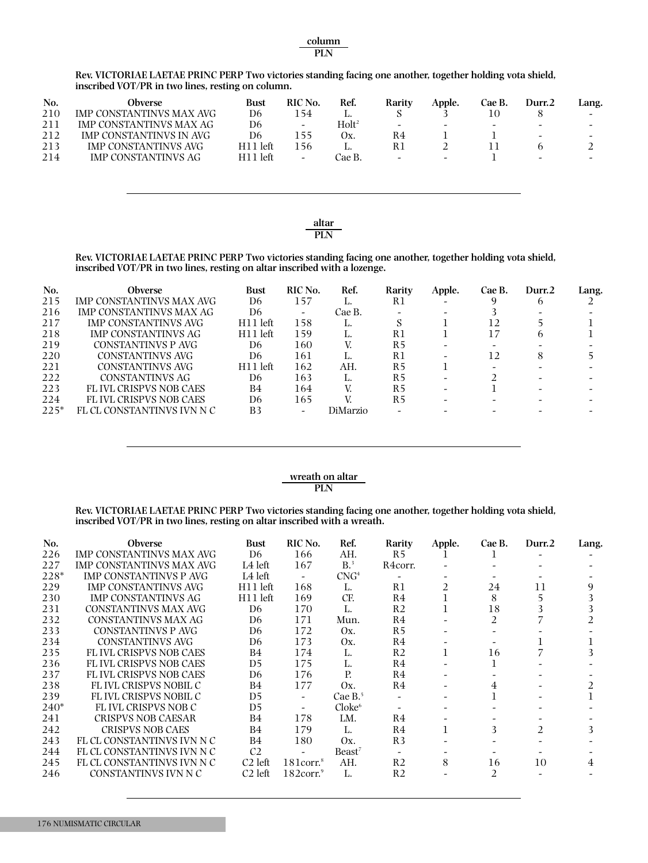**Rev. VICTORIAE LAETAE PRINC PERP Two victories standing facing one another, together holding vota shield, inscribed VOT/PR in two lines, resting on column.**

| No. | Obverse                        | Bust       | RIC No. | Ref.              | Rarity                   | Apple.                   | Cae B.                   | Durr.2 | Lang.                    |
|-----|--------------------------------|------------|---------|-------------------|--------------------------|--------------------------|--------------------------|--------|--------------------------|
| 210 | IMP CONSTANTINVS MAX AVG       | D6         | l 54    |                   |                          |                          |                          |        | $\overline{\phantom{a}}$ |
| 211 | <b>IMP CONSTANTINVS MAX AG</b> | D6         | -       | Holt <sup>2</sup> | $\overline{\phantom{0}}$ | $\overline{\phantom{0}}$ | $\overline{\phantom{0}}$ | -      | $\overline{\phantom{0}}$ |
| 212 | <b>IMP CONSTANTINVS IN AVG</b> | D6         | 155     | Ox.               | R4                       |                          |                          | -      | -                        |
| 213 | IMP CONSTANTINVS AVG           | $H11$ left | -56     |                   | R1                       |                          |                          |        |                          |
| 214 | <b>IMP CONSTANTINVS AG</b>     | H11 left   | -       | Cae B.            | $\sim$                   |                          |                          | $\sim$ | $\overline{\phantom{0}}$ |

altar **PLN**

**Rev. VICTORIAE LAETAE PRINC PERP Two victories standing facing one another, together holding vota shield, inscribed VOT/PR in two lines, resting on altar inscribed with a lozenge.**

| No.  | <b>Obverse</b>                | Bust                 | RIC No. | Ref.     | Rarity    | Apple. | Cae B. | Durr.2 | Lang. |
|------|-------------------------------|----------------------|---------|----------|-----------|--------|--------|--------|-------|
| 215  | IMP CONSTANTINVS MAX AVG      | D6                   | 157     |          | R1        |        |        | h      |       |
| 216  | IMP CONSTANTINVS MAX AG       | D6                   |         | Cae B.   |           |        |        |        |       |
| 217  | IMP CONSTANTINVS AVG          | H <sub>11</sub> left | 158     |          |           |        |        |        |       |
| 218  | IMP CONSTANTINVS AG           | H <sub>11</sub> left | 159     |          | R1        |        |        | h      |       |
| 219  | CONSTANTINVS P AVG            | D6                   | 160     |          | R5        |        |        |        |       |
| 220  | CONSTANTINVS AVG              | D6                   | 161     |          | R1        |        | 12     |        |       |
| 221  | CONSTANTINVS AVG              | H <sub>11</sub> left | 162     | AH.      | <b>R5</b> |        |        |        |       |
| 222  | CONSTANTINVS AG               | D6                   | 163     |          | R5        |        |        |        |       |
| 223  | <b>FLIVL CRISPVS NOB CAES</b> | B4                   | 164     |          | <b>R5</b> |        |        |        |       |
| 224  | <b>FLIVL CRISPVS NOB CAES</b> | D6                   | 165     |          | R5        |        |        |        |       |
| 225* | FL CL CONSTANTINVS IVN N C    | B3                   |         | DiMarzio |           |        |        |        |       |

#### *x* **wreath on altar PLN**

**Rev. VICTORIAE LAETAE PRINC PERP Two victories standing facing one another, together holding vota shield, inscribed VOT/PR in two lines, resting on altar inscribed with a wreath.**

| No.    | <b>Obverse</b>                  | <b>Bust</b>         | RIC No.               | Ref.               | Rarity         | Apple.         | Cae B. | Durr.2         | Lang. |
|--------|---------------------------------|---------------------|-----------------------|--------------------|----------------|----------------|--------|----------------|-------|
| 226    | <b>IMP CONSTANTINVS MAX AVG</b> | D <sub>6</sub>      | 166                   | AH.                | R <sub>5</sub> |                |        |                |       |
| 227    | <b>IMP CONSTANTINVS MAX AVG</b> | L4 left             | 167                   | B <sup>3</sup>     | R4corr.        |                |        |                |       |
| 228*   | <b>IMP CONSTANTINVS P AVG</b>   | L4 left             |                       | CNG <sup>4</sup>   |                |                |        |                |       |
| 229    | IMP CONSTANTINVS AVG            | H11 left            | 168                   | L.                 | R1             | $\overline{2}$ | 24     | 11             |       |
| 230    | <b>IMP CONSTANTINVS AG</b>      | $H11$ left          | 169                   | CF.                | R <sub>4</sub> |                | 8      |                |       |
| 231    | CONSTANTINVS MAX AVG            | D <sub>6</sub>      | 170                   | L.                 | R <sub>2</sub> |                | 18     |                |       |
| 232    | CONSTANTINVS MAX AG             | D <sub>6</sub>      | 171                   | Mun.               | R4             |                | 2      |                |       |
| 233    | CONSTANTINVS P AVG              | D6                  | 172                   | Ox.                | R <sub>5</sub> |                |        |                |       |
| 234    | <b>CONSTANTINVS AVG</b>         | D6                  | 173                   | Ox.                | R4             |                |        |                |       |
| 235    | <b>FLIVL CRISPVS NOB CAES</b>   | B4                  | 174                   | L.                 | R <sub>2</sub> |                | 16     |                |       |
| 236    | FL IVL CRISPVS NOB CAES         | D5                  | 175                   | L.                 | R4             |                |        |                |       |
| 237    | <b>FLIVL CRISPVS NOB CAES</b>   | D6                  | 176                   | Р.                 | R <sub>4</sub> |                |        |                |       |
| 238    | FL IVL CRISPVS NOBIL C          | B4                  | 177                   | Ox.                | R <sub>4</sub> |                | 4      |                |       |
| 239    | FL IVL CRISPVS NOBIL C          | D5                  |                       | Cae $B^5$          |                |                |        |                |       |
| $240*$ | FLIVL CRISPVS NOB C             | D5                  |                       | Cloke <sup>6</sup> |                |                |        |                |       |
| 241    | <b>CRISPVS NOB CAESAR</b>       | B4                  | 178                   | LM.                | R4             |                |        |                |       |
| 242    | <b>CRISPVS NOB CAES</b>         | B4                  | 179                   | L.                 | R4             |                | 3      | $\mathfrak{D}$ | 3.    |
| 243    | FL CL CONSTANTINVS IVN N C      | B4                  | 180                   | Ox.                | R <sub>3</sub> |                |        |                |       |
| 244    | FL CL CONSTANTINVS IVN N C      | C <sub>2</sub>      |                       | Beast <sup>7</sup> |                |                |        |                |       |
| 245    | FL CL CONSTANTINVS IVN N C      | C <sub>2</sub> left | $181$ corr. $8$       | AH.                | R <sub>2</sub> | 8              | 16     | 10             | 4     |
| 246    | CONSTANTINVS IVN N C            | C <sub>2</sub> left | $182$ corr. $\degree$ | L.                 | R2             |                | 2      |                |       |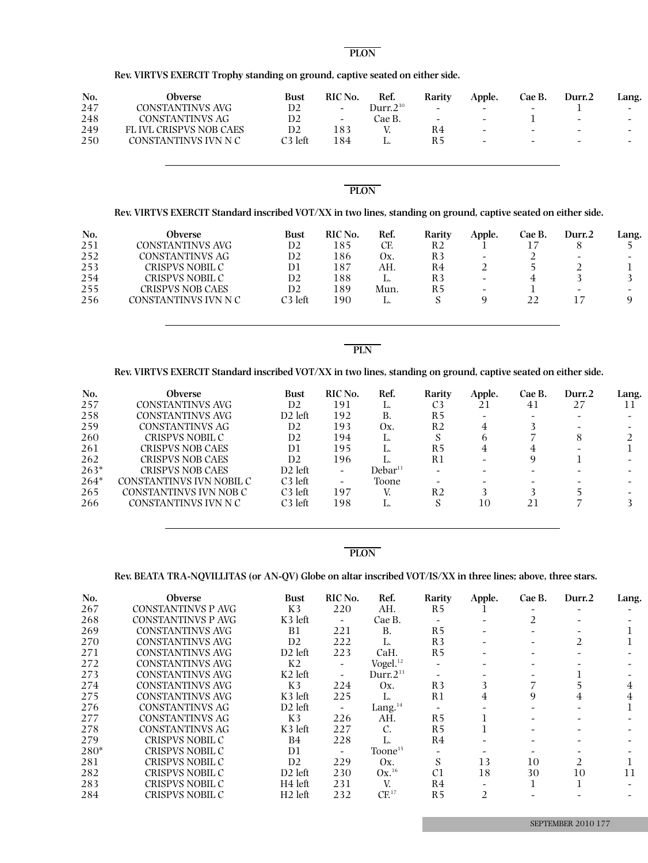#### **th on alt PLON**

**Rev. VIRTVS EXERCIT Trophy standing on ground, captive seated on either side.**

| No. | Obverse                 | Bust    | RIC No.                  | Ref.           | Rarity                   | Apple.                   | Cae B.                   | Durr.2                   | Lang.                    |
|-----|-------------------------|---------|--------------------------|----------------|--------------------------|--------------------------|--------------------------|--------------------------|--------------------------|
| 247 | CONSTANTINVS AVG        | D2      | $\overline{a}$           | Durr. $2^{10}$ | -                        | $\overline{\phantom{0}}$ | -                        |                          | -                        |
| 248 | CONSTANTINVS AG         | D2      | $\overline{\phantom{0}}$ | Cae B.         | $\overline{\phantom{a}}$ | $\sim$                   |                          | $\overline{\phantom{a}}$ | $\overline{\phantom{0}}$ |
| 249 | FL IVL CRISPVS NOB CAES | D2      | 183                      |                | R4                       | $\overline{\phantom{a}}$ | $\overline{\phantom{0}}$ | $\overline{\phantom{a}}$ | $\overline{\phantom{0}}$ |
| 250 | CONSTANTINVS IVN N C    | C3 left | 184                      |                | R5                       | $\overline{\phantom{a}}$ | $\overline{\phantom{0}}$ | $\overline{\phantom{0}}$ | -                        |
|     |                         |         |                          |                |                          |                          |                          |                          |                          |

#### **th on alt PLON**

#### Rev. VIRTVS EXERCIT Standard inscribed VOT/XX in two lines, standing on ground, captive seated on either side.

| No. | <b>Obverse</b>          | Bust    | RIC No. | Ref. | Rarity | Apple.                   | Cae B. | Durr.2                   | Lang. |
|-----|-------------------------|---------|---------|------|--------|--------------------------|--------|--------------------------|-------|
| 251 | CONSTANTINVS AVG        | D2      | 185     | CF.  | R2     |                          |        |                          |       |
| 252 | CONSTANTINVS AG         | D2      | 186     | Οх.  | R3     | $\overline{\phantom{a}}$ |        | $\overline{\phantom{0}}$ | -     |
| 253 | CRISPVS NOBIL C         | D1      | 187     | AH.  | R4     |                          |        |                          |       |
| 254 | CRISPVS NOBIL C         | D2      | 188     |      | R3     | $\overline{\phantom{a}}$ |        |                          |       |
| 255 | <b>CRISPVS NOB CAES</b> | D2      | 189     | Mun. | R5     | -                        |        | -                        | -     |
| 256 | CONSTANTINVS IVN N C    | C3 left | 190     |      |        |                          |        |                          |       |

**PLN**

#### Rev. VIRTVS EXERCIT Standard inscribed VOT/XX in two lines, standing on ground, captive seated on either side.

| No.    | <b>Obverse</b>           | <b>Bust</b>         | RIC No.                  | Ref.                | Rarity         | Apple. | Cae B. | Durr.2 | Lang. |
|--------|--------------------------|---------------------|--------------------------|---------------------|----------------|--------|--------|--------|-------|
| 257    | CONSTANTINVS AVG         | D <sub>2</sub>      | 191                      | L.                  | C <sub>3</sub> | 21     | 41     | 27     |       |
| 258    | CONSTANTINVS AVG         | D <sub>2</sub> left | 192                      | В.                  | R5             |        |        |        |       |
| 259    | CONSTANTINVS AG          | D <sub>2</sub>      | 193                      | Οх.                 | R2             | 4      |        |        |       |
| 260    | CRISPVS NOBIL C          | D <sub>2</sub>      | 194                      | L.                  |                | h      |        | 8      |       |
| 261    | <b>CRISPVS NOB CAES</b>  | D1                  | 195                      |                     | R5             | 4      | 4      |        |       |
| 262    | CRISPVS NOB CAES         | D <sub>2</sub>      | 196                      |                     | R1             |        | Q      |        |       |
| $263*$ | CRISPVS NOB CAES         | D <sub>2</sub> left | $\overline{\phantom{0}}$ | Debar <sup>11</sup> |                |        |        |        |       |
| $264*$ | CONSTANTINVS IVN NOBIL C | C <sub>3</sub> left |                          | Toone               |                |        |        |        |       |
| 265    | CONSTANTINVS IVN NOB C   | C <sub>3</sub> left | 197                      |                     | R <sub>2</sub> |        |        |        |       |
| 266    | CONSTANTINVS IVN N C     | C <sub>3</sub> left | 198                      |                     |                | 10     | 21     |        |       |
|        |                          |                     |                          |                     |                |        |        |        |       |

#### **PLON**

# **Rev. BEATA TRA-NQVILLITAS (or AN-QV) Globe on altar inscribed VOT/IS/XX in three lines; above, three stars.**

| No.  | <b>Obverse</b>            | <b>Bust</b>         | RIC No.                      | Ref.                | Rarity         | Apple.                | Cae B. | Durr.2 | Lang. |
|------|---------------------------|---------------------|------------------------------|---------------------|----------------|-----------------------|--------|--------|-------|
| 267  | <b>CONSTANTINVS P AVG</b> | K3                  | 220                          | AH.                 | R <sub>5</sub> |                       |        |        |       |
| 268  | <b>CONSTANTINVS P AVG</b> | K3 left             | $\qquad \qquad \blacksquare$ | Cae B.              |                |                       | 2      |        |       |
| 269  | CONSTANTINVS AVG          | B1                  | 221                          | В.                  | R <sub>5</sub> |                       |        |        |       |
| 270  | CONSTANTINVS AVG          | D <sub>2</sub>      | 222                          | L.                  | R <sub>3</sub> |                       |        |        |       |
| 271  | CONSTANTINVS AVG          | $D2$ left           | 223                          | CaH.                | R <sub>5</sub> |                       |        |        |       |
| 272  | CONSTANTINVS AVG          | K <sub>2</sub>      | -                            | Vogel. $^{12}$      |                |                       |        |        |       |
| 273  | CONSTANTINVS AVG          | $K2$ left           | -                            | Durr. $2^{13}$      |                |                       |        |        |       |
| 274  | CONSTANTINVS AVG          | K3                  | 224                          | Ox.                 | R <sub>3</sub> | 3                     |        |        | 4     |
| 275  | CONSTANTINVS AVG          | K3 left             | 225                          | L.                  | R1             | 4                     | 9      | 4      | 4     |
| 276  | CONSTANTINVS AG           | D <sub>2</sub> left |                              | Lang. $14$          |                |                       |        |        |       |
| 277  | CONSTANTINVS AG           | K3                  | 226                          | AH.                 | R <sub>5</sub> |                       |        |        |       |
| 278  | CONSTANTINVS AG           | K3 left             | 227                          | C.                  | R <sub>5</sub> |                       |        |        |       |
| 279  | CRISPVS NOBIL C           | <b>B4</b>           | 228                          | L.                  | R4             |                       |        |        |       |
| 280* | CRISPVS NOBIL C           | D1                  | -                            | Toone <sup>15</sup> |                |                       |        |        |       |
| 281  | CRISPVS NOBIL C           | D <sub>2</sub>      | 229                          | Ox.                 | S              | 13                    | 10     |        |       |
| 282  | CRISPVS NOBIL C           | $D2$ left           | 230                          | $Ox.^{16}$          | C <sub>1</sub> | 18                    | 30     | 10     | 11    |
| 283  | CRISPVS NOBIL C           | H4 left             | 231                          | V.                  | R4             |                       |        |        |       |
| 284  | CRISPVS NOBIL C           | $H2$ left           | 232                          | CF <sup>17</sup>    | R <sub>5</sub> | $\mathcal{D}_{\cdot}$ |        |        |       |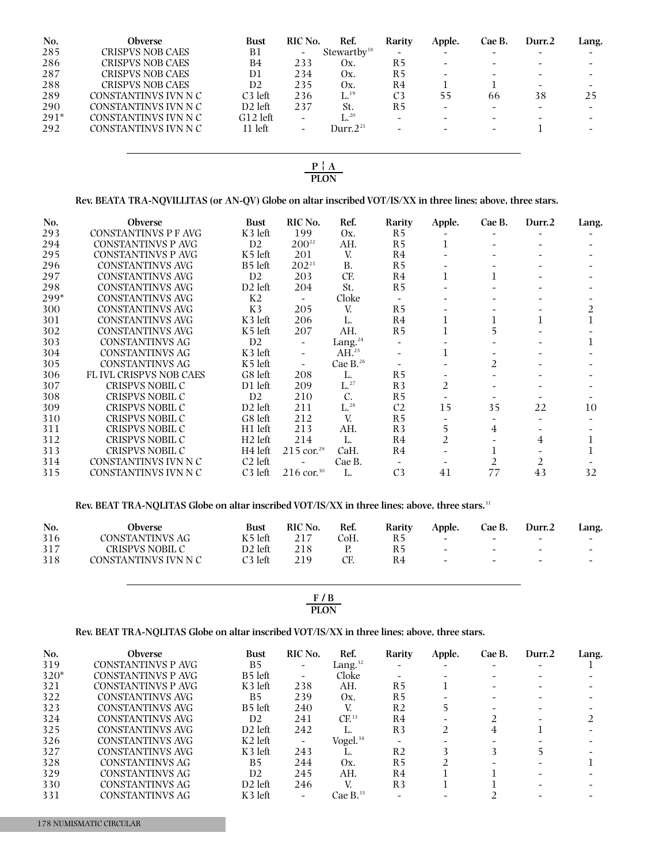| No.    | Obverse                 | <b>Bust</b>         | RIC No.                  | Ref.                              | Rarity         | Apple.                   | Cae B.                   | Durr.2                       | Lang.                    |
|--------|-------------------------|---------------------|--------------------------|-----------------------------------|----------------|--------------------------|--------------------------|------------------------------|--------------------------|
| 285    | <b>CRISPVS NOB CAES</b> | B1                  | $\overline{\phantom{a}}$ | Stewartbv <sup>18</sup>           | -              |                          | $\overline{\phantom{a}}$ | $\overline{\phantom{0}}$     | $\overline{\phantom{0}}$ |
| 286    | <b>CRISPVS NOB CAES</b> | B4                  | 233                      | Ox.                               | R5             |                          | $\overline{\phantom{0}}$ | $\qquad \qquad \blacksquare$ | $\overline{\phantom{a}}$ |
| 287    | <b>CRISPVS NOB CAES</b> | D1                  | 234                      | Ox.                               | R5             |                          | $\overline{\phantom{a}}$ |                              | $\overline{\phantom{0}}$ |
| 288    | <b>CRISPVS NOB CAES</b> | D <sub>2</sub>      | 235                      | Οх.                               | R4             |                          |                          | -                            | $\overline{\phantom{0}}$ |
| 289    | CONSTANTINVS IVN N C    | C <sub>3</sub> left | 236                      | $\mathrm{L}^{.19}$                | C <sub>3</sub> | 55                       | 66                       | 38                           | 25                       |
| 290    | CONSTANTINVS IVN N C    | $D2$ left           | 237                      | St.                               | R5             | $\overline{\phantom{a}}$ | $\overline{\phantom{a}}$ | -                            | $\overline{\phantom{a}}$ |
| $291*$ | CONSTANTINVS IVN N C    | $G12$ left          | $\overline{\phantom{0}}$ | $\mathrm{L}^{20}$                 |                |                          | $\overline{\phantom{a}}$ |                              | $\overline{\phantom{0}}$ |
| 292    | CONSTANTINVS IVN N C    | I1 left             | -                        | Durr. $2^{\scriptscriptstyle 21}$ |                |                          | $\overline{\phantom{a}}$ |                              | $\overline{\phantom{0}}$ |
|        |                         |                     |                          |                                   |                |                          |                          |                              |                          |

#### $P | A$ **PLON**

# **Rev. BEATA TRA-NQVILLITAS (or AN-QV) Globe on altar inscribed VOT/IS/XX in three lines; above, three stars.**

| No.  | <b>Obverse</b>                | <b>Bust</b>         | RIC No.                  | Ref.              | Rarity         | Apple. | Cae B. | Durr.2 | Lang. |
|------|-------------------------------|---------------------|--------------------------|-------------------|----------------|--------|--------|--------|-------|
| 293  | CONSTANTINVS P F AVG          | K3 left             | 199                      | Ox.               | R <sub>5</sub> |        |        |        |       |
| 294  | CONSTANTINVS P AVG            | D <sub>2</sub>      | $200^{22}$               | AH.               | R <sub>5</sub> |        |        |        |       |
| 295  | <b>CONSTANTINVS P AVG</b>     | K <sub>5</sub> left | 201                      | V.                | R4             |        |        |        |       |
| 296  | <b>CONSTANTINVS AVG</b>       | B <sub>5</sub> left | $202^{23}$               | B.                | R <sub>5</sub> |        |        |        |       |
| 297  | <b>CONSTANTINVS AVG</b>       | D <sub>2</sub>      | 203                      | CF.               | R4             |        |        |        |       |
| 298  | <b>CONSTANTINVS AVG</b>       | D <sub>2</sub> left | 204                      | St.               | R <sub>5</sub> |        |        |        |       |
| 299* | <b>CONSTANTINVS AVG</b>       | K <sub>2</sub>      |                          | Cloke             |                |        |        |        |       |
| 300  | <b>CONSTANTINVS AVG</b>       | K3                  | 205                      | V.                | R <sub>5</sub> |        |        |        | 2     |
| 301  | <b>CONSTANTINVS AVG</b>       | K3 left             | 206                      | L.                | R <sub>4</sub> |        |        |        |       |
| 302  | <b>CONSTANTINVS AVG</b>       | K5 left             | 207                      | AH.               | R <sub>5</sub> |        | ר      |        |       |
| 303  | CONSTANTINVS AG               | D2                  |                          | Lang. $^{24}$     |                |        |        |        |       |
| 304  | CONSTANTINVS AG               | K3 left             | $\overline{\phantom{a}}$ | $AH.^{25}$        |                |        |        |        |       |
| 305  | CONSTANTINVS AG               | K5 left             | $\overline{\phantom{a}}$ | Cae B. $26$       |                |        | 2      |        |       |
| 306  | <b>FLIVL CRISPVS NOB CAES</b> | G8 left             | 208                      | L.                | R <sub>5</sub> |        |        |        |       |
| 307  | CRISPVS NOBIL C               | D1 left             | 209                      | $\mathrm{L}^{27}$ | R <sub>3</sub> | 2      |        |        |       |
| 308  | CRISPVS NOBIL C               | D <sub>2</sub>      | 210                      | C.                | R <sub>5</sub> |        |        |        |       |
| 309  | CRISPVS NOBIL C               | D <sub>2</sub> left | 211                      | $L^{28}$          | C <sub>2</sub> | 15     | 35     | 22     | 10    |
| 310  | CRISPVS NOBIL C               | G8 left             | 212                      | V.                | R <sub>5</sub> |        |        |        |       |
| 311  | CRISPVS NOBIL C               | H <sub>1</sub> left | 213                      | AH.               | R <sub>3</sub> | 5      | 4      |        |       |
| 312  | CRISPVS NOBIL C               | $H2$ left           | 214                      | L.                | R <sub>4</sub> | 2      |        | 4      |       |
| 313  | CRISPVS NOBIL C               | H <sub>4</sub> left | $215$ cor. <sup>29</sup> | CaH.              | R <sub>4</sub> |        |        |        |       |
| 314  | CONSTANTINVS IVN N C          | C <sub>2</sub> left |                          | Cae B.            |                |        |        | 2      |       |
| 315  | CONSTANTINVS IVN N C          | C <sub>3</sub> left | $216 \text{ cor.}^{30}$  | L.                | C <sub>3</sub> | 41     | 77     | 43     | 32    |

#### **Rev. BEAT TRA-NQLITAS Globe on altar inscribed VOT/IS/XX in three lines; above, three stars.** 31

| No. | Obverse              | <b>Bust</b> | <b>RIC No.</b> | Ref. | Rarity | Apple.                   | Cae B. | Durr.2                   | Lang.                    |
|-----|----------------------|-------------|----------------|------|--------|--------------------------|--------|--------------------------|--------------------------|
| 316 | CONSTANTINVS AG      | K5 left     |                | CoH. | R5     | $\overline{\phantom{0}}$ | $\sim$ | $\overline{\phantom{0}}$ | $\overline{\phantom{a}}$ |
| 317 | CRISPVS NOBIL C      | D2 left     | 218            |      | R 5    | $\sim$                   | $\sim$ | $\overline{\phantom{a}}$ | $\overline{\phantom{a}}$ |
| 318 | CONSTANTINVS IVN N C | C3 left     | 21 Q           |      | R4     | $\sim$                   | $\sim$ | $\sim$                   | $\overline{\phantom{0}}$ |

**NF** / **B PLON**

# **Rev. BEAT TRA-NQLITAS Globe on altar inscribed VOT/IS/XX in three lines; above, three stars.**

| No.    | <b>Obverse</b>     | <b>Bust</b>         | RIC No. | Ref.                 | Rarity         | Apple. | Cae B. | Durr.2 | Lang. |
|--------|--------------------|---------------------|---------|----------------------|----------------|--------|--------|--------|-------|
| 319    | CONSTANTINVS P AVG | <b>B5</b>           |         | Lang. $32$           |                |        |        |        |       |
| $320*$ | CONSTANTINVS P AVG | B <sub>5</sub> left |         | Cloke                |                |        |        |        |       |
| 321    | CONSTANTINVS P AVG | K3 left             | 238     | AH.                  | R5             |        |        |        |       |
| 322    | CONSTANTINVS AVG   | В5                  | 239     | Ox.                  | R5             |        |        |        |       |
| 323    | CONSTANTINVS AVG   | B <sub>5</sub> left | 240     | V.                   | R2             |        |        |        |       |
| 324    | CONSTANTINVS AVG   | D2                  | 241     | CF <sup>33</sup>     | R4             |        |        |        |       |
| 325    | CONSTANTINVS AVG   | $D2$ left           | 242     |                      | R <sub>3</sub> |        | 4      |        |       |
| 326    | CONSTANTINVS AVG   | K <sub>2</sub> left |         | Vogel. <sup>34</sup> |                |        |        |        |       |
| 327    | CONSTANTINVS AVG   | K3 left             | 243     |                      | R <sub>2</sub> |        |        |        |       |
| 328    | CONSTANTINVS AG    | <b>B5</b>           | 244     | Ox.                  | R <sub>5</sub> |        |        |        |       |
| 329    | CONSTANTINVS AG    | D <sub>2</sub>      | 245     | AH.                  | R4             |        |        |        |       |
| 330    | CONSTANTINVS AG    | $D2$ left           | 246     | V.                   | R <sub>3</sub> |        |        |        |       |
| 331    | CONSTANTINVS AG    | K3 left             |         | Cae B. $35$          |                |        |        |        |       |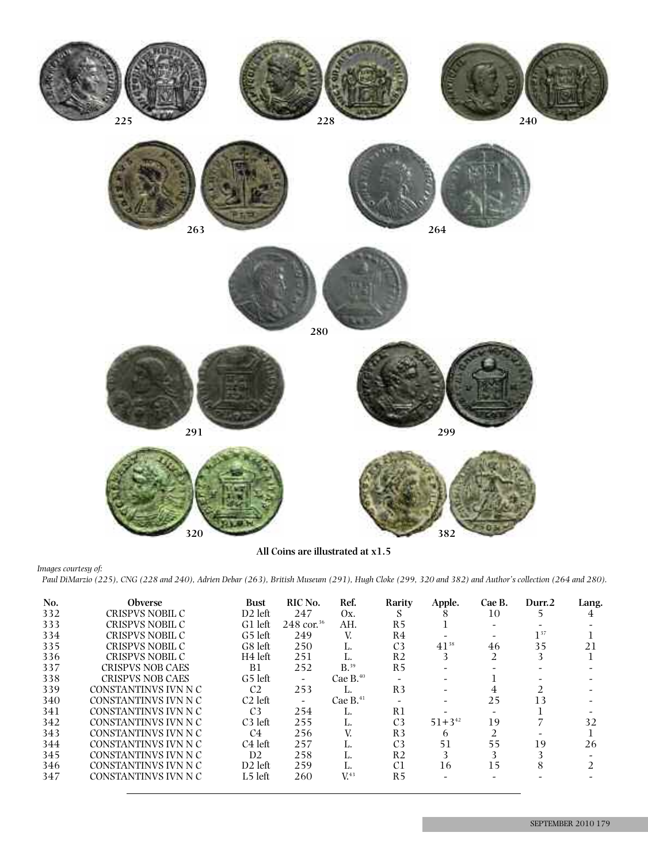

**All Coins are illustrated at x1.5**

*Images courtesy of:*

Paul DiMarzio (225), CNG (228 and 240), Adrien Debar (263), British Museum (291), Hugh Cloke (299, 320 and 382) and Author's collection (264 and 280).

| No. | <b>Obverse</b>          | <b>Bust</b>         | RIC No.                 | Ref.               | Rarity         | Apple.        | Cae B.         | Durr.2   | Lang. |
|-----|-------------------------|---------------------|-------------------------|--------------------|----------------|---------------|----------------|----------|-------|
| 332 | CRISPVS NOBIL C         | $D2$ left           | 247                     | Ox.                | S              | 8             | 10             |          | 4     |
| 333 | CRISPVS NOBIL C         | G1 left             | $248 \text{ cor.}^{36}$ | AH.                | R <sub>5</sub> |               |                |          |       |
| 334 | CRISPVS NOBIL C         | G5 left             | 249                     | V.                 | R4             |               |                | $1^{37}$ |       |
| 335 | CRISPVS NOBIL C         | G8 left             | 250                     | L.                 | C <sub>3</sub> | $41^{38}$     | 46             | 35       | 21    |
| 336 | CRISPVS NOBIL C         | H <sub>4</sub> left | 251                     | L.                 | R <sub>2</sub> | 3             | $\mathfrak{D}$ | 3        |       |
| 337 | <b>CRISPVS NOB CAES</b> | <b>B1</b>           | 252                     | $B.$ <sup>39</sup> | R <sub>5</sub> |               |                |          |       |
| 338 | <b>CRISPVS NOB CAES</b> | G5 left             |                         | Cae $B^{40}$       |                |               |                |          |       |
| 339 | CONSTANTINVS IVN N C    | C <sub>2</sub>      | 253                     | ь.                 | R <sub>3</sub> |               | 4              |          |       |
| 340 | CONSTANTINVS IVN N C    | $C2$ left           |                         | Cae $B.^{41}$      |                |               | 25             | 13       |       |
| 341 | CONSTANTINVS IVN N C    | C <sub>3</sub>      | 254                     | Ъ.                 | R1             |               |                |          |       |
| 342 | CONSTANTINVS IVN N C    | $C3$ left           | 255                     | L.                 | C <sub>3</sub> | $51 + 3^{42}$ | 19             |          | 32    |
| 343 | CONSTANTINVS IVN N C    | C4                  | 256                     | V.                 | R <sub>3</sub> | 6             | 2              |          |       |
| 344 | CONSTANTINVS IVN N C    | C <sub>4</sub> left | 257                     | ы.                 | C <sub>3</sub> | 51            | 55             | 19       | 26    |
| 345 | CONSTANTINVS IVN N C    | D2                  | 258                     | ы.                 | R <sub>2</sub> | 3             | 3              | 3        |       |
| 346 | CONSTANTINVS IVN N C    | $D2$ left           | 259                     | Ь.                 | C1             | 16            | 15             | 8        |       |
| 347 | CONSTANTINVS IVN N C    | L5 left             | 260                     | V <sup>43</sup>    | R5             |               |                |          |       |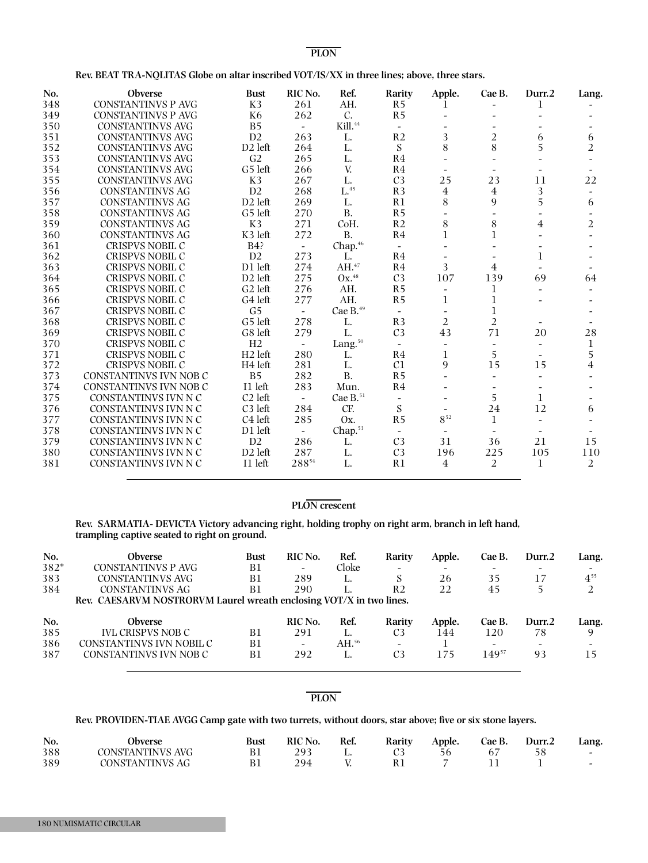#### **NF** / **BN PLON**

| Rev. BEAT TRA-NQLITAS Globe on altar inscribed VOT/IS/XX in three lines; above, three stars. |  |
|----------------------------------------------------------------------------------------------|--|
|----------------------------------------------------------------------------------------------|--|

| No. | Obverse                   | <b>Bust</b>         | RIC No.        | Ref.                | Rarity                   | Apple.                      | Cae B.         | Durr.2         | Lang.          |
|-----|---------------------------|---------------------|----------------|---------------------|--------------------------|-----------------------------|----------------|----------------|----------------|
| 348 | <b>CONSTANTINVS P AVG</b> | K3                  | 261            | AH.                 | R <sub>5</sub>           | $\perp$                     |                | 1              |                |
| 349 | <b>CONSTANTINVS P AVG</b> | K <sub>6</sub>      | 262            | C.                  | R <sub>5</sub>           |                             |                |                |                |
| 350 | <b>CONSTANTINVS AVG</b>   | B <sub>5</sub>      |                | Kill. <sup>44</sup> | $\overline{\phantom{a}}$ |                             |                |                |                |
| 351 | <b>CONSTANTINVS AVG</b>   | D <sub>2</sub>      | 263            | L.                  | R <sub>2</sub>           | 3                           | 2              | 6              | 6              |
| 352 | <b>CONSTANTINVS AVG</b>   | $D2$ left           | 264            | L.                  | ${\bf S}$                | 8                           | 8              | 5              | $\overline{2}$ |
| 353 | <b>CONSTANTINVS AVG</b>   | G <sub>2</sub>      | 265            | L.                  | R <sub>4</sub>           |                             |                |                |                |
| 354 | <b>CONSTANTINVS AVG</b>   | G5 left             | 266            | V.                  | R <sub>4</sub>           | $\overline{\phantom{a}}$    |                |                |                |
| 355 | <b>CONSTANTINVS AVG</b>   | K3                  | 267            | L.                  | C <sub>3</sub>           | 25                          | 23             | 11             | 22             |
| 356 | <b>CONSTANTINVS AG</b>    | D2                  | 268            | $\mathrm{L}^{.45}$  | R3                       | $\overline{4}$              | $\overline{4}$ | 3              |                |
| 357 | <b>CONSTANTINVS AG</b>    | D <sub>2</sub> left | 269            | L.                  | R1                       | 8                           | 9              | 5              | 6              |
| 358 | <b>CONSTANTINVS AG</b>    | G5 left             | 270            | <b>B.</b>           | R <sub>5</sub>           |                             |                |                |                |
| 359 | <b>CONSTANTINVS AG</b>    | K3                  | 271            | CoH.                | R <sub>2</sub>           | 8                           | 8              | $\overline{4}$ | $\overline{2}$ |
| 360 | CONSTANTINVS AG           | K3 left             | 272            | <b>B.</b>           | R <sub>4</sub>           | $\mathbf 1$                 | 1              |                |                |
| 361 | <b>CRISPVS NOBIL C</b>    | B4?                 |                | Chap. <sup>46</sup> |                          |                             |                |                |                |
| 362 | <b>CRISPVS NOBIL C</b>    | D2                  | 273            | L.                  | R <sub>4</sub>           |                             |                | 1              |                |
| 363 | <b>CRISPVS NOBIL C</b>    | D1 left             | 274            | AH.47               | R <sub>4</sub>           | 3                           | 4              |                |                |
| 364 | <b>CRISPVS NOBIL C</b>    | D <sub>2</sub> left | 275            | $Ox.^{48}$          | C <sub>3</sub>           | 107                         | 139            | 69             | 64             |
| 365 | <b>CRISPVS NOBIL C</b>    | G <sub>2</sub> left | 276            | AH.                 | R <sub>5</sub>           | $\overline{\phantom{a}}$    | 1              |                |                |
| 366 | <b>CRISPVS NOBIL C</b>    | G4 left             | 277            | AH.                 | R <sub>5</sub>           | $\mathbf 1$                 | 1              |                |                |
| 367 | <b>CRISPVS NOBIL C</b>    | G <sub>5</sub>      | $\sim$         | Cae B.49            | $\sim$                   |                             | 1              |                |                |
| 368 | <b>CRISPVS NOBIL C</b>    | G5 left             | 278            | L.                  | R3                       | $\overline{2}$              | $\overline{2}$ |                |                |
| 369 | <b>CRISPVS NOBIL C</b>    | G8 left             | 279            | L.                  | C <sub>3</sub>           | 43                          | 71             | 20             | 28             |
| 370 | CRISPVS NOBIL C           | H2                  | $\sim$         | Lang. <sup>50</sup> | $\sim$                   | $\overline{\phantom{a}}$    |                |                | $\mathbf{1}$   |
| 371 | <b>CRISPVS NOBIL C</b>    | H <sub>2</sub> left | 280            | L.                  | R <sub>4</sub>           | 1                           | 5              |                | 5              |
| 372 | <b>CRISPVS NOBIL C</b>    | H <sub>4</sub> left | 281            | L.                  | C <sub>1</sub>           | 9                           | 15             | 15             | $\overline{4}$ |
| 373 | CONSTANTINVS IVN NOB C    | B <sub>5</sub>      | 282            | <b>B.</b>           | R <sub>5</sub>           |                             |                |                |                |
| 374 | CONSTANTINVS IVN NOB C    | I1 left             | 283            | Mun.                | R <sub>4</sub>           |                             |                |                |                |
| 375 | CONSTANTINVS IVN N C      | C <sub>2</sub> left | $\equiv$       | Cae $B.^{51}$       | $\overline{\phantom{a}}$ |                             | 5              | 1              |                |
| 376 | CONSTANTINVS IVN N C      | C <sub>3</sub> left | 284            | CF.                 | S                        |                             | 24             | 12             | 6              |
| 377 | CONSTANTINVS IVN N C      | C <sub>4</sub> left | 285            | Ox.                 | R <sub>5</sub>           | $8^{\scriptscriptstyle 52}$ | $\mathbf{1}$   |                |                |
| 378 | CONSTANTINVS IVN N C      | D1 left             | $\overline{a}$ | Chap. <sup>53</sup> | $\sim$                   |                             |                |                |                |
| 379 | CONSTANTINVS IVN N C      | D2                  | 286            | L.                  | C <sub>3</sub>           | 31                          | 36             | 21             | 15             |
| 380 | CONSTANTINVS IVN N C      | D <sub>2</sub> left | 287            | L.                  | C <sub>3</sub>           | 196                         | 225            | 105            | 110            |
| 381 |                           |                     |                |                     |                          |                             |                |                |                |

#### **NF** / **BN PLON crescent**

#### **Rev. SARMATIA- DEVICTA Victory advancing right, holding trophy on right arm, branch in left hand, trampling captive seated to right on ground.**

| No.  | Obverse                                                             | <b>Bust</b> | RIC No.                  | Ref.   | Rarity         | Apple. | Cae B.                   | Durr.2 | Lang.    |
|------|---------------------------------------------------------------------|-------------|--------------------------|--------|----------------|--------|--------------------------|--------|----------|
| 382* | CONSTANTINVS P AVG                                                  | B1          | $\overline{\phantom{0}}$ | Cloke  |                |        | $\overline{\phantom{0}}$ | -      |          |
| 383  | CONSTANTINVS AVG                                                    | B1          | 289                      | п.     |                | 26     | 35                       | 17     | $4^{55}$ |
| 384  | <b>CONSTANTINVS AG</b>                                              | B1          | 290                      |        | R <sub>2</sub> | 22     | 45                       |        |          |
|      |                                                                     |             |                          |        |                |        |                          |        |          |
|      | Rev. CAESARVM NOSTRORVM Laurel wreath enclosing VOT/X in two lines. |             |                          |        |                |        |                          |        |          |
| No.  | <b>Obverse</b>                                                      |             | RIC No.                  | Ref.   | Rarity         | Apple. | Cae B.                   | Durr.2 | Lang.    |
| 385  | <b>IVL CRISPVS NOB C</b>                                            | Β1          | 291                      |        | C <sub>3</sub> | 144    | 120                      | 78     |          |
| 386  | CONSTANTINVS IVN NOBIL C                                            | B1          |                          | AH. 56 |                |        |                          |        |          |

#### **NF** / **BN PLON**

# **Rev. PROVIDEN-TIAE AVGG Camp gate with two turrets, without doors, star above; five or six stone layers.**

| No. | .)bverse         | Bust | <b>RIC</b> No. | Ref | Rarity | Apple. | Cae B. | Durr.2 | Lang. |
|-----|------------------|------|----------------|-----|--------|--------|--------|--------|-------|
| 388 | CONSTANTINVS AVG |      |                | . . |        |        |        |        |       |
| 389 | CONSTANTINVS AG  | ÞІ   |                |     |        |        |        |        |       |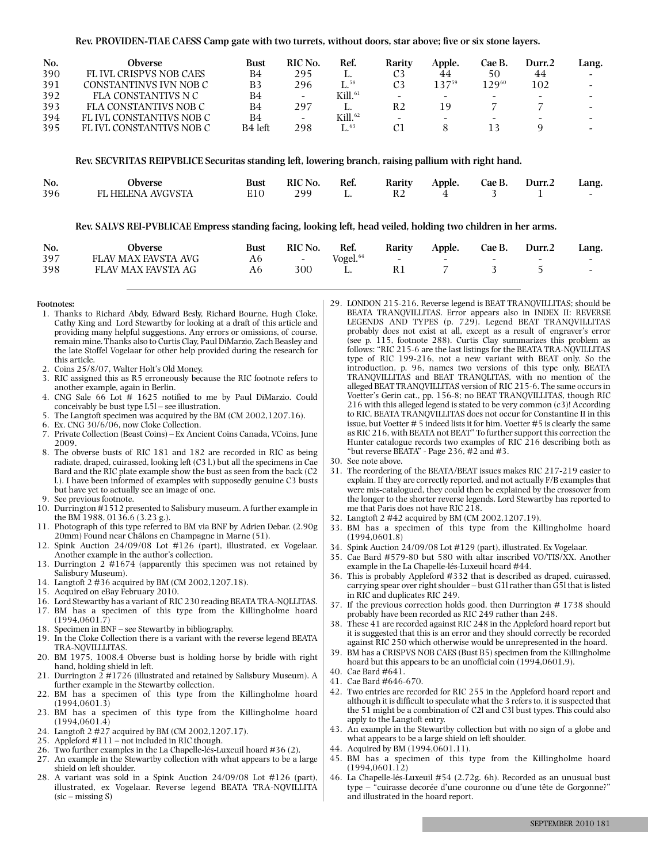**Rev. PROVIDEN-TIAE CAESS Camp gate with two turrets, without doors, star above; five or six stone layers.**

| No. | Obverse                       | Bust    | RIC No.                  | Ref.                      | Rarity                   | Apple. | Cae B.                   | Durr.2                   | Lang.                    |
|-----|-------------------------------|---------|--------------------------|---------------------------|--------------------------|--------|--------------------------|--------------------------|--------------------------|
| 390 | <b>FLIVL CRISPVS NOB CAES</b> | B4      | 295                      |                           |                          | 44     | 50                       | 44                       | $-$                      |
| 391 | CONSTANTINVS IVN NOB C        | B3      | 296                      | $\mathrm{L}^\mathrm{.58}$ | C <sub>3</sub>           | 13759  | 12960                    | 102                      |                          |
| 392 | FLA CONSTANTIVS N C           | B4      | $\overline{\phantom{0}}$ | Kill. $^{61}$             | $\overline{\phantom{0}}$ |        | -                        | $\overline{\phantom{0}}$ | $\overline{\phantom{0}}$ |
| 393 | FLA CONSTANTIVS NOB C         | B4      | 297                      |                           | R2                       | 19     |                          |                          | $\sim$                   |
| 394 | FLIVL CONSTANTIVS NOB C       | B4      | $\overline{\phantom{a}}$ | Kill. <sup>62</sup>       | $\overline{\phantom{a}}$ |        | $\overline{\phantom{0}}$ | $\overline{\phantom{a}}$ | $\overline{\phantom{0}}$ |
| 395 | FL IVL CONSTANTIVS NOB C      | B4 left | 298                      | $\mathrm{L}^{63}$         |                          |        |                          |                          | $\overline{\phantom{0}}$ |

#### **Rev. SECVRITAS REIPVBLICE Securitas standing left, lowering branch, raising pallium with right hand.**

| No. | Obverse           | <b>Bust</b> | RIC No. | Ref. | Rarity | Apple. Cae B. Durr.2 |  | Lang. |
|-----|-------------------|-------------|---------|------|--------|----------------------|--|-------|
| 396 | FL HELENA AVGVSTA |             | 299     |      |        |                      |  |       |

**Rev. SALVS REI-PVBLICAE Empress standing facing, looking left, head veiled, holding two children in her arms.**

| No. | Obverse             | <b>Bust</b> | RIC No. | Ref.           | Rarity | Apple. | Cae B. | Durr.2                   | Lang.                    |
|-----|---------------------|-------------|---------|----------------|--------|--------|--------|--------------------------|--------------------------|
| 397 | FLAV MAX FAVSTA AVG | А6          | $\sim$  | $V$ ogel. $64$ | $\sim$ | $\sim$ | $\sim$ | $\overline{\phantom{0}}$ | $\sim$                   |
| 398 | FLAV MAX FAVSTA AG  | А6          | 300     |                |        |        |        |                          | $\overline{\phantom{0}}$ |

#### **Footnotes:**

- 1. Thanks to Richard Abdy, Edward Besly, Richard Bourne, Hugh Cloke, Cathy King and Lord Stewartby for looking at a draft of this article and providing many helpful suggestions. Any errors or omissions, of course, remain mine. Thanks also to Curtis Clay, Paul DiMarzio, Zach Beasley and the late Stoffel Vogelaar for other help provided during the research for this article.
- 2. Coins 25/8/07, Walter Holt's Old Money.
- 3. RIC assigned this as R5 erroneously because the RIC footnote refers to another example, again in Berlin.
- 4. CNG Sale 66 Lot # 1625 notified to me by Paul DiMarzio. Could conceivably be bust type L5l – see illustration.
- 5. The Langtoft specimen was acquired by the BM (CM 2002,1207.16).
- 6. Ex. CNG 30/6/06, now Cloke Collection.
- 7. Private Collection (Beast Coins) Ex Ancient Coins Canada, VCoins, June 2009.
- 8. The obverse busts of RIC 181 and 182 are recorded in RIC as being radiate, draped, cuirassed, looking left (C3 l.) but all the specimens in Cae Bard and the RIC plate example show the bust as seen from the back (C2 l.). I have been informed of examples with supposedly genuine C3 busts but have yet to actually see an image of one.
- 9. See previous footnote.
- 10. Durrington #1512 presented to Salisbury museum. A further example in the BM 1988, 0136.6 (3.23 g.).
- 11. Photograph of this type referred to BM via BNF by Adrien Debar. (2.90g 20mm) Found near Châlons en Champagne in Marne (51).
- 12. Spink Auction 24/09/08 Lot #126 (part), illustrated, ex Vogelaar. Another example in the author's collection.
- 13. Durrington 2 #1674 (apparently this specimen was not retained by Salisbury Museum).
- 14. Langtoft 2 #36 acquired by BM (CM 2002,1207.18).
- 15. Acquired on eBay February 2010.
- 16. Lord Stewartby has a variant of RIC 230 reading BEATATRA-NQLLITAS.
- 17. BM has a specimen of this type from the Killingholme hoard (1994,0601.7)
- 18. Specimen in BNF see Stewartby in bibliography.
- 19. In the Cloke Collection there is a variant with the reverse legend BEATA TRA-NQVILLLITAS.
- 20. BM 1975, 1008.4 Obverse bust is holding horse by bridle with right hand, holding shield in left.
- 21. Durrington 2 #1726 (illustrated and retained by Salisbury Museum). A further example in the Stewartby collection.
- 22. BM has a specimen of this type from the Killingholme hoard (1994,0601.3)
- 23. BM has a specimen of this type from the Killingholme hoard (1994,0601.4)
- 24. Langtoft 2 #27 acquired by BM (CM 2002,1207.17).
- 25. Appleford #111 not included in RIC though.
- 26. Two further examples in the La Chapelle-lés-Luxeuil hoard #36 (2).
- 27. An example in the Stewartby collection with what appears to be a large shield on left shoulder.
- 28. A variant was sold in a Spink Auction 24/09/08 Lot #126 (part), illustrated, ex Vogelaar. Reverse legend BEATA TRA-NQVILLITA (sic – missing S)
- 29. LONDON 215-216. Reverse legend is BEAT TRANQVILLITAS; should be BEATA TRANQVILLITAS. Error appears also in INDEX II: REVERSE LEGENDS AND TYPES (p. 729). Legend BEAT TRANQVILLITAS probably does not exist at all, except as a result of engraver's error (see p. 115, footnote 288). Curtis Clay summarizes this problem as follows: "RIC 215-6 are the last listings for the BEATA TRA-NQVILLITAS type of RIC 199-216, not a new variant with BEAT only. So the introduction, p. 96, names two versions of this type only, BEATA TRANQVILLITAS and BEAT TRANQLITAS, with no mention of the alleged BEAT TRANQVILLITAS version of RIC 215-6. The same occurs in Voetter's Gerin cat., pp. 156-8; no BEAT TRANQVILLITAS, though RIC 216 with this alleged legend is stated to be very common (c3)! According to RIC, BEATA TRANQVILLITAS does not occur for Constantine II in this issue, but Voetter # 5 indeed lists it for him. Voetter #5 is clearly the same as RIC 216, with BEATA not BEAT" To further support this correction the Hunter catalogue records two examples of RIC 216 describing both as "but reverse BEATA" - Page 236, #2 and #3.
- 30. See note above.
- 31. The reordering of the BEATA/BEAT issues makes RIC 217-219 easier to explain. If they are correctly reported, and not actually F/B examplesthat were mis-catalogued, they could then be explained by the crossover from the longer to the shorter reverse legends. Lord Stewartby has reported to me that Paris does not have RIC 218.
- 32. Langtoft 2 #42 acquired by BM (CM 2002,1207.19).
- 33. BM has a specimen of this type from the Killingholme hoard (1994,0601.8)
- 34. Spink Auction 24/09/08 Lot #129 (part), illustrated. Ex Vogelaar.
- 35. Cae Bard #579-80 but 580 with altar inscribed VO/TIS/XX. Another example in the La Chapelle-lés-Luxeuil hoard #44.
- 36. This is probably Appleford #332 that is described as draped, cuirassed, carrying spear over right shoulder – bust G1l rather than G5l that is listed in RIC and duplicates RIC 249.
- 37. If the previous correction holds good, then Durrington # 1738 should probably have been recorded as RIC 249 rather than 248.
- 38. These 41 are recorded against RIC 248 in the Appleford hoard report but it is suggested that this is an error and they should correctly be recorded against RIC 250 which otherwise would be unrepresented in the hoard.
- 39. BM has a CRISPVS NOB CAES (Bust B5) specimen from the Killingholme hoard but this appears to be an unofficial coin (1994,0601.9).
- 40. Cae Bard #641.
- 41. Cae Bard #646-670.
- 42. Two entries are recorded for RIC 255 in the Appleford hoard report and although it is difficult to speculate what the 3 refers to, it is suspected that the 51 might be a combination of C2l and C3l bust types. This could also apply to the Langtoft entry.
- 43. An example in the Stewartby collection but with no sign of a globe and what appears to be a large shield on left shoulder.
- 44. Acquired by BM (1994,0601.11).
- 45. BM has a specimen of this type from the Killingholme hoard (1994,0601.12)
- 46. La Chapelle-lés-Luxeuil #54 (2.72g. 6h). Recorded as an unusual bust type – "cuirasse decorée d'une couronne ou d'une tête de Gorgonne?" and illustrated in the hoard report.